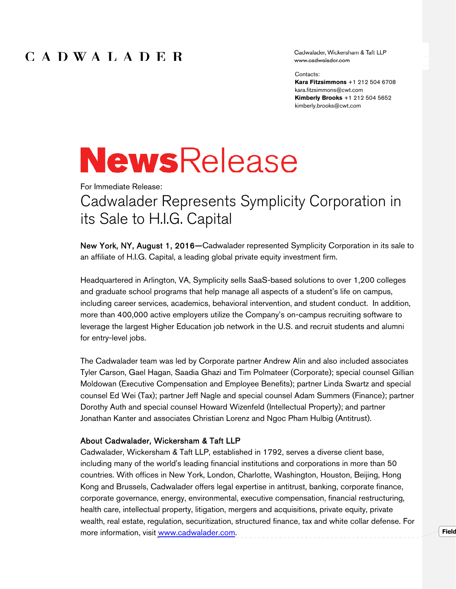## CADWALADER

Cadwalader, Wickersham & Taft LLP www.cadwalader.com

Contacts:

**Kara Fitzsimmons** +1 212 504 6708 kara.fitzsimmons@cwt.com **Kimberly Brooks** +1 212 504 5652 kimberly.brooks@cwt.com

**Field** 

# **NewsRelease**

For Immediate Release:

## Cadwalader Represents Symplicity Corporation in its Sale to H.I.G. Capital

New York, NY, August 1, 2016—Cadwalader represented Symplicity Corporation in its sale to an affiliate of H.I.G. Capital, a leading global private equity investment firm.

Headquartered in Arlington, VA, Symplicity sells SaaS-based solutions to over 1,200 colleges and graduate school programs that help manage all aspects of a student's life on campus, including career services, academics, behavioral intervention, and student conduct. In addition, more than 400,000 active employers utilize the Company's on-campus recruiting software to leverage the largest Higher Education job network in the U.S. and recruit students and alumni for entry-level jobs.

The Cadwalader team was led by Corporate partner Andrew Alin and also included associates Tyler Carson, Gael Hagan, Saadia Ghazi and Tim Polmateer (Corporate); special counsel Gillian Moldowan (Executive Compensation and Employee Benefits); partner Linda Swartz and special counsel Ed Wei (Tax); partner Jeff Nagle and special counsel Adam Summers (Finance); partner Dorothy Auth and special counsel Howard Wizenfeld (Intellectual Property); and partner Jonathan Kanter and associates Christian Lorenz and Ngoc Pham Hulbig (Antitrust).

### About Cadwalader, Wickersham & Taft LLP

Cadwalader, Wickersham & Taft LLP, established in 1792, serves a diverse client base, including many of the world's leading financial institutions and corporations in more than 50 countries. With offices in New York, London, Charlotte, Washington, Houston, Beijing, Hong Kong and Brussels, Cadwalader offers legal expertise in antitrust, banking, corporate finance, corporate governance, energy, environmental, executive compensation, financial restructuring, health care, intellectual property, litigation, mergers and acquisitions, private equity, private wealth, real estate, regulation, securitization, structured finance, tax and white collar defense. For more information, visit www.cadwalader.com.